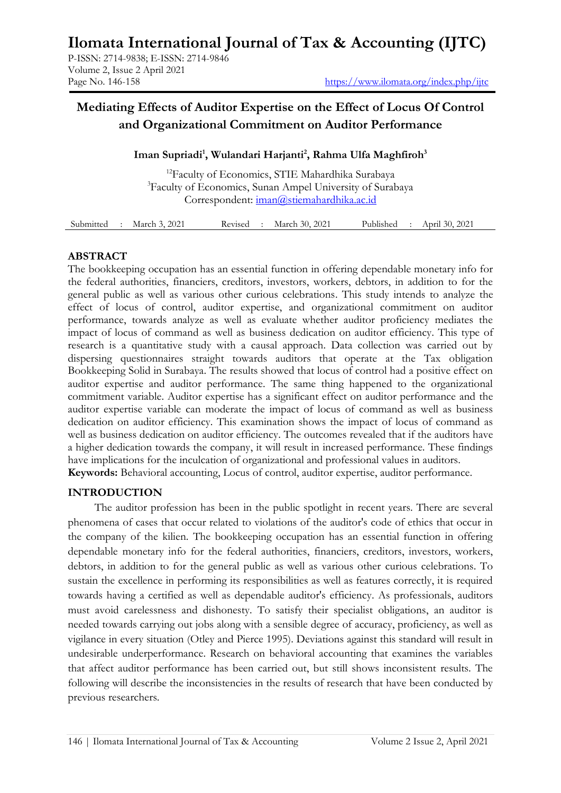# **Ilomata International Journal of Tax & Accounting (IJTC)**

P-ISSN: 2714-9838; E-ISSN: 2714-9846 Volume 2, Issue 2 April 2021

# **Mediating Effects of Auditor Expertise on the Effect of Locus Of Control and Organizational Commitment on Auditor Performance**

# **Iman Supriadi<sup>1</sup> , Wulandari Harjanti<sup>2</sup> , Rahma Ulfa Maghfiroh<sup>3</sup>**

<sup>12</sup>Faculty of Economics, STIE Mahardhika Surabaya <sup>3</sup>Faculty of Economics, Sunan Ampel University of Surabaya Correspondent: [iman@stiemahardhika.ac.id](mailto:iman@stiemahardhika.ac.id)

| Submitted | March 3, 2021 | Revised | March 30, 2021 | Published | April 30, 2021 |  |
|-----------|---------------|---------|----------------|-----------|----------------|--|
|           |               |         |                |           |                |  |

#### **ABSTRACT**

The bookkeeping occupation has an essential function in offering dependable monetary info for the federal authorities, financiers, creditors, investors, workers, debtors, in addition to for the general public as well as various other curious celebrations. This study intends to analyze the effect of locus of control, auditor expertise, and organizational commitment on auditor performance, towards analyze as well as evaluate whether auditor proficiency mediates the impact of locus of command as well as business dedication on auditor efficiency. This type of research is a quantitative study with a causal approach. Data collection was carried out by dispersing questionnaires straight towards auditors that operate at the Tax obligation Bookkeeping Solid in Surabaya. The results showed that locus of control had a positive effect on auditor expertise and auditor performance. The same thing happened to the organizational commitment variable. Auditor expertise has a significant effect on auditor performance and the auditor expertise variable can moderate the impact of locus of command as well as business dedication on auditor efficiency. This examination shows the impact of locus of command as well as business dedication on auditor efficiency. The outcomes revealed that if the auditors have a higher dedication towards the company, it will result in increased performance. These findings have implications for the inculcation of organizational and professional values in auditors. **Keywords:** Behavioral accounting, Locus of control, auditor expertise, auditor performance.

#### **INTRODUCTION**

The auditor profession has been in the public spotlight in recent years. There are several phenomena of cases that occur related to violations of the auditor's code of ethics that occur in the company of the kilien. The bookkeeping occupation has an essential function in offering dependable monetary info for the federal authorities, financiers, creditors, investors, workers, debtors, in addition to for the general public as well as various other curious celebrations. To sustain the excellence in performing its responsibilities as well as features correctly, it is required towards having a certified as well as dependable auditor's efficiency. As professionals, auditors must avoid carelessness and dishonesty. To satisfy their specialist obligations, an auditor is needed towards carrying out jobs along with a sensible degree of accuracy, proficiency, as well as vigilance in every situation (Otley and Pierce 1995). Deviations against this standard will result in undesirable underperformance. Research on behavioral accounting that examines the variables that affect auditor performance has been carried out, but still shows inconsistent results. The following will describe the inconsistencies in the results of research that have been conducted by previous researchers.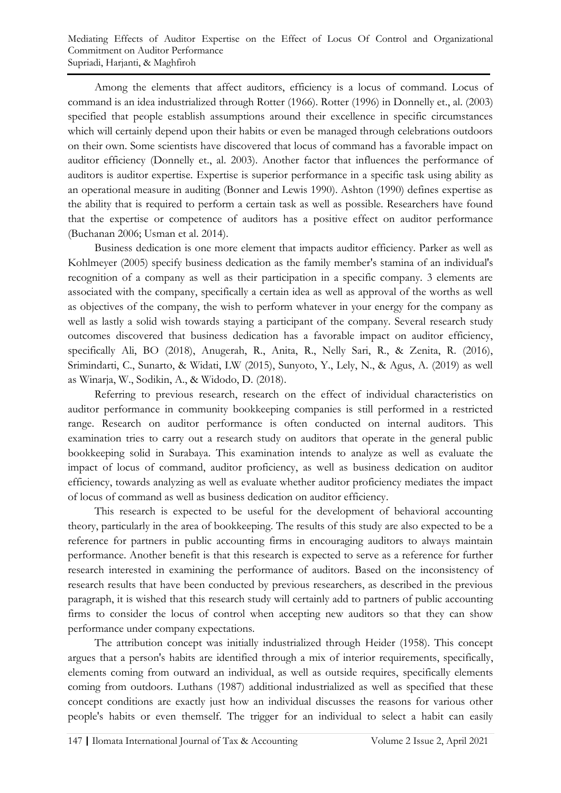Among the elements that affect auditors, efficiency is a locus of command. Locus of command is an idea industrialized through Rotter (1966). Rotter (1996) in Donnelly et., al. (2003) specified that people establish assumptions around their excellence in specific circumstances which will certainly depend upon their habits or even be managed through celebrations outdoors on their own. Some scientists have discovered that locus of command has a favorable impact on auditor efficiency (Donnelly et., al. 2003). Another factor that influences the performance of auditors is auditor expertise. Expertise is superior performance in a specific task using ability as an operational measure in auditing (Bonner and Lewis 1990). Ashton (1990) defines expertise as the ability that is required to perform a certain task as well as possible. Researchers have found that the expertise or competence of auditors has a positive effect on auditor performance (Buchanan 2006; Usman et al. 2014).

Business dedication is one more element that impacts auditor efficiency. Parker as well as Kohlmeyer (2005) specify business dedication as the family member's stamina of an individual's recognition of a company as well as their participation in a specific company. 3 elements are associated with the company, specifically a certain idea as well as approval of the worths as well as objectives of the company, the wish to perform whatever in your energy for the company as well as lastly a solid wish towards staying a participant of the company. Several research study outcomes discovered that business dedication has a favorable impact on auditor efficiency, specifically Ali, BO (2018), Anugerah, R., Anita, R., Nelly Sari, R., & Zenita, R. (2016), Srimindarti, C., Sunarto, & Widati, LW (2015), Sunyoto, Y., Lely, N., & Agus, A. (2019) as well as Winarja, W., Sodikin, A., & Widodo, D. (2018).

Referring to previous research, research on the effect of individual characteristics on auditor performance in community bookkeeping companies is still performed in a restricted range. Research on auditor performance is often conducted on internal auditors. This examination tries to carry out a research study on auditors that operate in the general public bookkeeping solid in Surabaya. This examination intends to analyze as well as evaluate the impact of locus of command, auditor proficiency, as well as business dedication on auditor efficiency, towards analyzing as well as evaluate whether auditor proficiency mediates the impact of locus of command as well as business dedication on auditor efficiency.

This research is expected to be useful for the development of behavioral accounting theory, particularly in the area of bookkeeping. The results of this study are also expected to be a reference for partners in public accounting firms in encouraging auditors to always maintain performance. Another benefit is that this research is expected to serve as a reference for further research interested in examining the performance of auditors. Based on the inconsistency of research results that have been conducted by previous researchers, as described in the previous paragraph, it is wished that this research study will certainly add to partners of public accounting firms to consider the locus of control when accepting new auditors so that they can show performance under company expectations.

The attribution concept was initially industrialized through Heider (1958). This concept argues that a person's habits are identified through a mix of interior requirements, specifically, elements coming from outward an individual, as well as outside requires, specifically elements coming from outdoors. Luthans (1987) additional industrialized as well as specified that these concept conditions are exactly just how an individual discusses the reasons for various other people's habits or even themself. The trigger for an individual to select a habit can easily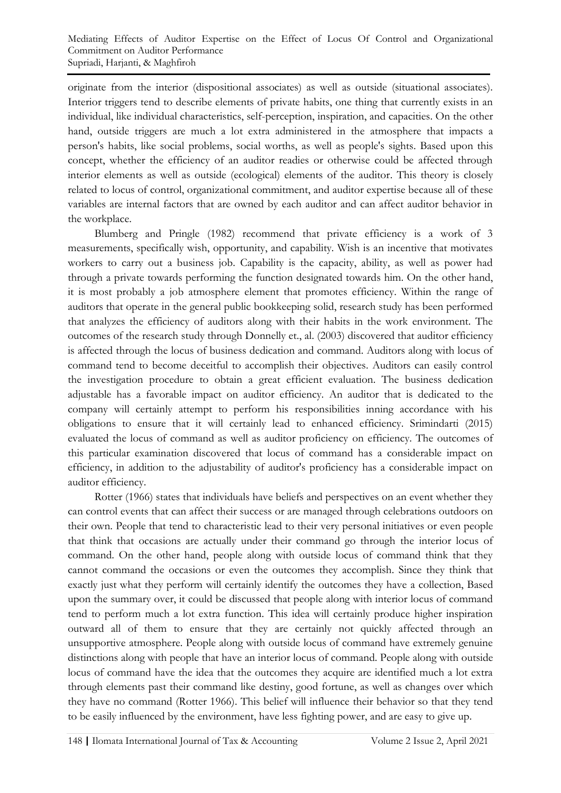originate from the interior (dispositional associates) as well as outside (situational associates). Interior triggers tend to describe elements of private habits, one thing that currently exists in an individual, like individual characteristics, self-perception, inspiration, and capacities. On the other hand, outside triggers are much a lot extra administered in the atmosphere that impacts a person's habits, like social problems, social worths, as well as people's sights. Based upon this concept, whether the efficiency of an auditor readies or otherwise could be affected through interior elements as well as outside (ecological) elements of the auditor. This theory is closely related to locus of control, organizational commitment, and auditor expertise because all of these variables are internal factors that are owned by each auditor and can affect auditor behavior in the workplace.

Blumberg and Pringle (1982) recommend that private efficiency is a work of 3 measurements, specifically wish, opportunity, and capability. Wish is an incentive that motivates workers to carry out a business job. Capability is the capacity, ability, as well as power had through a private towards performing the function designated towards him. On the other hand, it is most probably a job atmosphere element that promotes efficiency. Within the range of auditors that operate in the general public bookkeeping solid, research study has been performed that analyzes the efficiency of auditors along with their habits in the work environment. The outcomes of the research study through Donnelly et., al. (2003) discovered that auditor efficiency is affected through the locus of business dedication and command. Auditors along with locus of command tend to become deceitful to accomplish their objectives. Auditors can easily control the investigation procedure to obtain a great efficient evaluation. The business dedication adjustable has a favorable impact on auditor efficiency. An auditor that is dedicated to the company will certainly attempt to perform his responsibilities inning accordance with his obligations to ensure that it will certainly lead to enhanced efficiency. Srimindarti (2015) evaluated the locus of command as well as auditor proficiency on efficiency. The outcomes of this particular examination discovered that locus of command has a considerable impact on efficiency, in addition to the adjustability of auditor's proficiency has a considerable impact on auditor efficiency.

Rotter (1966) states that individuals have beliefs and perspectives on an event whether they can control events that can affect their success or are managed through celebrations outdoors on their own. People that tend to characteristic lead to their very personal initiatives or even people that think that occasions are actually under their command go through the interior locus of command. On the other hand, people along with outside locus of command think that they cannot command the occasions or even the outcomes they accomplish. Since they think that exactly just what they perform will certainly identify the outcomes they have a collection, Based upon the summary over, it could be discussed that people along with interior locus of command tend to perform much a lot extra function. This idea will certainly produce higher inspiration outward all of them to ensure that they are certainly not quickly affected through an unsupportive atmosphere. People along with outside locus of command have extremely genuine distinctions along with people that have an interior locus of command. People along with outside locus of command have the idea that the outcomes they acquire are identified much a lot extra through elements past their command like destiny, good fortune, as well as changes over which they have no command (Rotter 1966). This belief will influence their behavior so that they tend to be easily influenced by the environment, have less fighting power, and are easy to give up.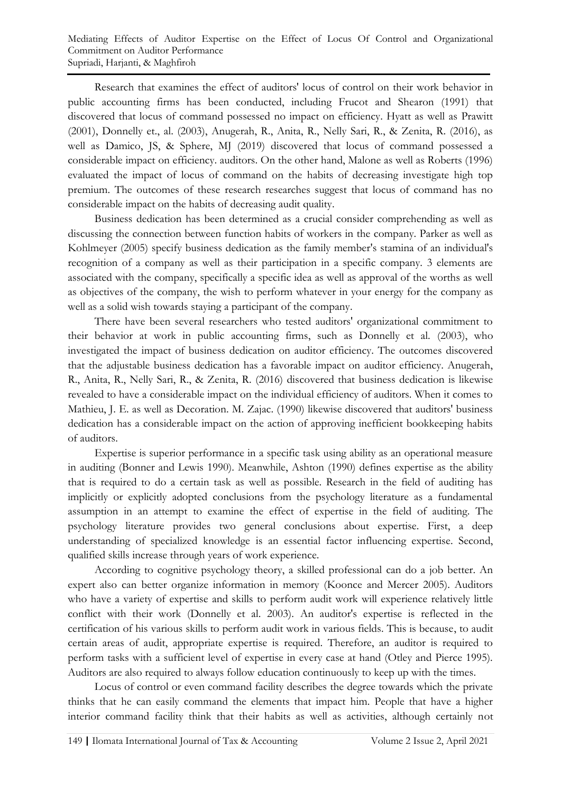Research that examines the effect of auditors' locus of control on their work behavior in public accounting firms has been conducted, including Frucot and Shearon (1991) that discovered that locus of command possessed no impact on efficiency. Hyatt as well as Prawitt (2001), Donnelly et., al. (2003), Anugerah, R., Anita, R., Nelly Sari, R., & Zenita, R. (2016), as well as Damico, JS, & Sphere, MJ (2019) discovered that locus of command possessed a considerable impact on efficiency. auditors. On the other hand, Malone as well as Roberts (1996) evaluated the impact of locus of command on the habits of decreasing investigate high top premium. The outcomes of these research researches suggest that locus of command has no considerable impact on the habits of decreasing audit quality.

Business dedication has been determined as a crucial consider comprehending as well as discussing the connection between function habits of workers in the company. Parker as well as Kohlmeyer (2005) specify business dedication as the family member's stamina of an individual's recognition of a company as well as their participation in a specific company. 3 elements are associated with the company, specifically a specific idea as well as approval of the worths as well as objectives of the company, the wish to perform whatever in your energy for the company as well as a solid wish towards staying a participant of the company.

There have been several researchers who tested auditors' organizational commitment to their behavior at work in public accounting firms, such as Donnelly et al. (2003), who investigated the impact of business dedication on auditor efficiency. The outcomes discovered that the adjustable business dedication has a favorable impact on auditor efficiency. Anugerah, R., Anita, R., Nelly Sari, R., & Zenita, R. (2016) discovered that business dedication is likewise revealed to have a considerable impact on the individual efficiency of auditors. When it comes to Mathieu, J. E. as well as Decoration. M. Zajac. (1990) likewise discovered that auditors' business dedication has a considerable impact on the action of approving inefficient bookkeeping habits of auditors.

Expertise is superior performance in a specific task using ability as an operational measure in auditing (Bonner and Lewis 1990). Meanwhile, Ashton (1990) defines expertise as the ability that is required to do a certain task as well as possible. Research in the field of auditing has implicitly or explicitly adopted conclusions from the psychology literature as a fundamental assumption in an attempt to examine the effect of expertise in the field of auditing. The psychology literature provides two general conclusions about expertise. First, a deep understanding of specialized knowledge is an essential factor influencing expertise. Second, qualified skills increase through years of work experience.

According to cognitive psychology theory, a skilled professional can do a job better. An expert also can better organize information in memory (Koonce and Mercer 2005). Auditors who have a variety of expertise and skills to perform audit work will experience relatively little conflict with their work (Donnelly et al. 2003). An auditor's expertise is reflected in the certification of his various skills to perform audit work in various fields. This is because, to audit certain areas of audit, appropriate expertise is required. Therefore, an auditor is required to perform tasks with a sufficient level of expertise in every case at hand (Otley and Pierce 1995). Auditors are also required to always follow education continuously to keep up with the times.

Locus of control or even command facility describes the degree towards which the private thinks that he can easily command the elements that impact him. People that have a higher interior command facility think that their habits as well as activities, although certainly not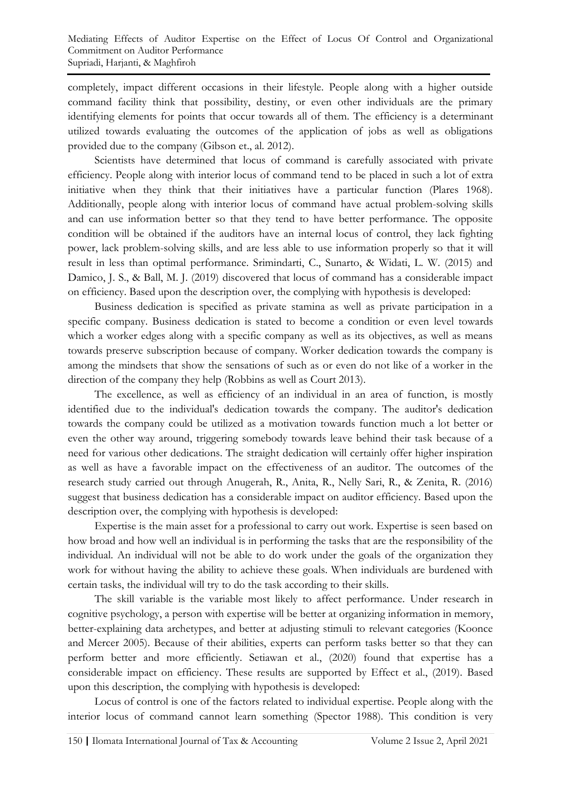completely, impact different occasions in their lifestyle. People along with a higher outside command facility think that possibility, destiny, or even other individuals are the primary identifying elements for points that occur towards all of them. The efficiency is a determinant utilized towards evaluating the outcomes of the application of jobs as well as obligations provided due to the company (Gibson et., al. 2012).

Scientists have determined that locus of command is carefully associated with private efficiency. People along with interior locus of command tend to be placed in such a lot of extra initiative when they think that their initiatives have a particular function (Plares 1968). Additionally, people along with interior locus of command have actual problem-solving skills and can use information better so that they tend to have better performance. The opposite condition will be obtained if the auditors have an internal locus of control, they lack fighting power, lack problem-solving skills, and are less able to use information properly so that it will result in less than optimal performance. Srimindarti, C., Sunarto, & Widati, L. W. (2015) and Damico, J. S., & Ball, M. J. (2019) discovered that locus of command has a considerable impact on efficiency. Based upon the description over, the complying with hypothesis is developed:

Business dedication is specified as private stamina as well as private participation in a specific company. Business dedication is stated to become a condition or even level towards which a worker edges along with a specific company as well as its objectives, as well as means towards preserve subscription because of company. Worker dedication towards the company is among the mindsets that show the sensations of such as or even do not like of a worker in the direction of the company they help (Robbins as well as Court 2013).

The excellence, as well as efficiency of an individual in an area of function, is mostly identified due to the individual's dedication towards the company. The auditor's dedication towards the company could be utilized as a motivation towards function much a lot better or even the other way around, triggering somebody towards leave behind their task because of a need for various other dedications. The straight dedication will certainly offer higher inspiration as well as have a favorable impact on the effectiveness of an auditor. The outcomes of the research study carried out through Anugerah, R., Anita, R., Nelly Sari, R., & Zenita, R. (2016) suggest that business dedication has a considerable impact on auditor efficiency. Based upon the description over, the complying with hypothesis is developed:

Expertise is the main asset for a professional to carry out work. Expertise is seen based on how broad and how well an individual is in performing the tasks that are the responsibility of the individual. An individual will not be able to do work under the goals of the organization they work for without having the ability to achieve these goals. When individuals are burdened with certain tasks, the individual will try to do the task according to their skills.

The skill variable is the variable most likely to affect performance. Under research in cognitive psychology, a person with expertise will be better at organizing information in memory, better-explaining data archetypes, and better at adjusting stimuli to relevant categories (Koonce and Mercer 2005). Because of their abilities, experts can perform tasks better so that they can perform better and more efficiently. Setiawan et al., (2020) found that expertise has a considerable impact on efficiency. These results are supported by Effect et al., (2019). Based upon this description, the complying with hypothesis is developed:

Locus of control is one of the factors related to individual expertise. People along with the interior locus of command cannot learn something (Spector 1988). This condition is very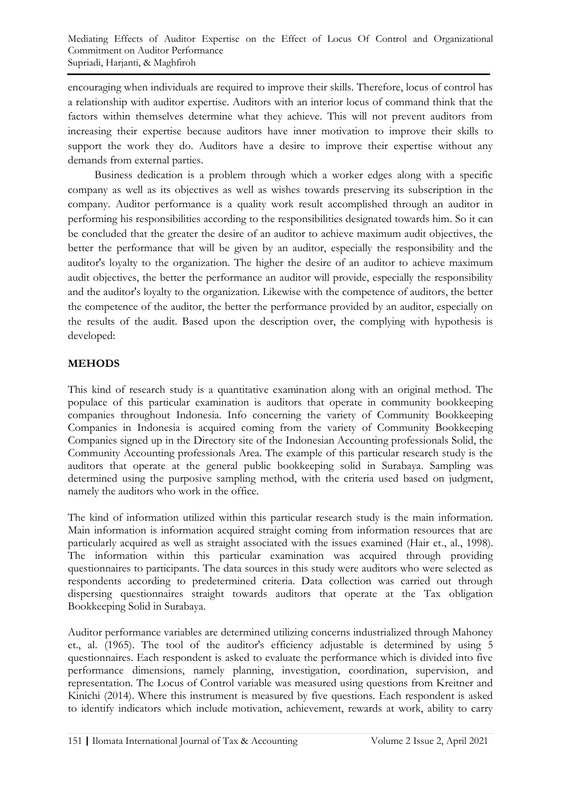encouraging when individuals are required to improve their skills. Therefore, locus of control has a relationship with auditor expertise. Auditors with an interior locus of command think that the factors within themselves determine what they achieve. This will not prevent auditors from increasing their expertise because auditors have inner motivation to improve their skills to support the work they do. Auditors have a desire to improve their expertise without any demands from external parties.

Business dedication is a problem through which a worker edges along with a specific company as well as its objectives as well as wishes towards preserving its subscription in the company. Auditor performance is a quality work result accomplished through an auditor in performing his responsibilities according to the responsibilities designated towards him. So it can be concluded that the greater the desire of an auditor to achieve maximum audit objectives, the better the performance that will be given by an auditor, especially the responsibility and the auditor's loyalty to the organization. The higher the desire of an auditor to achieve maximum audit objectives, the better the performance an auditor will provide, especially the responsibility and the auditor's loyalty to the organization. Likewise with the competence of auditors, the better the competence of the auditor, the better the performance provided by an auditor, especially on the results of the audit. Based upon the description over, the complying with hypothesis is developed:

# **MEHODS**

This kind of research study is a quantitative examination along with an original method. The populace of this particular examination is auditors that operate in community bookkeeping companies throughout Indonesia. Info concerning the variety of Community Bookkeeping Companies in Indonesia is acquired coming from the variety of Community Bookkeeping Companies signed up in the Directory site of the Indonesian Accounting professionals Solid, the Community Accounting professionals Area. The example of this particular research study is the auditors that operate at the general public bookkeeping solid in Surabaya. Sampling was determined using the purposive sampling method, with the criteria used based on judgment, namely the auditors who work in the office.

The kind of information utilized within this particular research study is the main information. Main information is information acquired straight coming from information resources that are particularly acquired as well as straight associated with the issues examined (Hair et., al., 1998). The information within this particular examination was acquired through providing questionnaires to participants. The data sources in this study were auditors who were selected as respondents according to predetermined criteria. Data collection was carried out through dispersing questionnaires straight towards auditors that operate at the Tax obligation Bookkeeping Solid in Surabaya.

Auditor performance variables are determined utilizing concerns industrialized through Mahoney et., al. (1965). The tool of the auditor's efficiency adjustable is determined by using 5 questionnaires. Each respondent is asked to evaluate the performance which is divided into five performance dimensions, namely planning, investigation, coordination, supervision, and representation. The Locus of Control variable was measured using questions from Kreitner and Kinichi (2014). Where this instrument is measured by five questions. Each respondent is asked to identify indicators which include motivation, achievement, rewards at work, ability to carry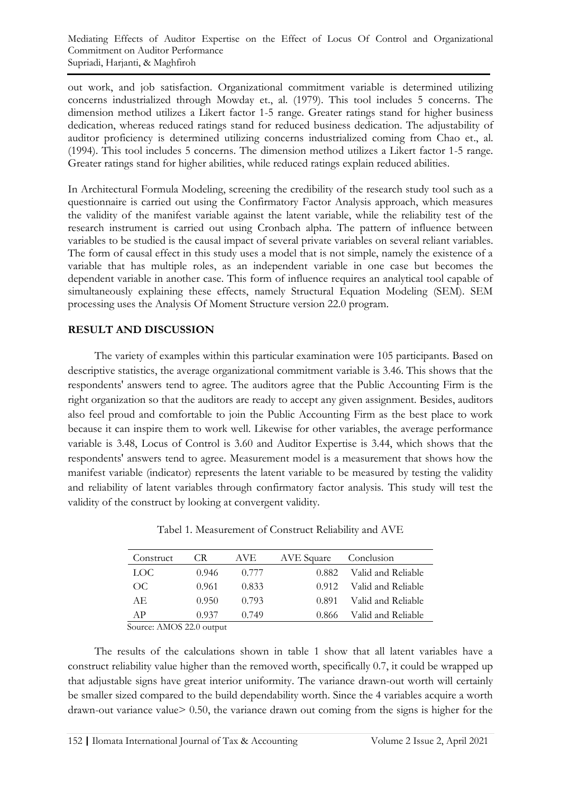out work, and job satisfaction. Organizational commitment variable is determined utilizing concerns industrialized through Mowday et., al. (1979). This tool includes 5 concerns. The dimension method utilizes a Likert factor 1-5 range. Greater ratings stand for higher business dedication, whereas reduced ratings stand for reduced business dedication. The adjustability of auditor proficiency is determined utilizing concerns industrialized coming from Chao et., al. (1994). This tool includes 5 concerns. The dimension method utilizes a Likert factor 1-5 range. Greater ratings stand for higher abilities, while reduced ratings explain reduced abilities.

In Architectural Formula Modeling, screening the credibility of the research study tool such as a questionnaire is carried out using the Confirmatory Factor Analysis approach, which measures the validity of the manifest variable against the latent variable, while the reliability test of the research instrument is carried out using Cronbach alpha. The pattern of influence between variables to be studied is the causal impact of several private variables on several reliant variables. The form of causal effect in this study uses a model that is not simple, namely the existence of a variable that has multiple roles, as an independent variable in one case but becomes the dependent variable in another case. This form of influence requires an analytical tool capable of simultaneously explaining these effects, namely Structural Equation Modeling (SEM). SEM processing uses the Analysis Of Moment Structure version 22.0 program.

# **RESULT AND DISCUSSION**

The variety of examples within this particular examination were 105 participants. Based on descriptive statistics, the average organizational commitment variable is 3.46. This shows that the respondents' answers tend to agree. The auditors agree that the Public Accounting Firm is the right organization so that the auditors are ready to accept any given assignment. Besides, auditors also feel proud and comfortable to join the Public Accounting Firm as the best place to work because it can inspire them to work well. Likewise for other variables, the average performance variable is 3.48, Locus of Control is 3.60 and Auditor Expertise is 3.44, which shows that the respondents' answers tend to agree. Measurement model is a measurement that shows how the manifest variable (indicator) represents the latent variable to be measured by testing the validity and reliability of latent variables through confirmatory factor analysis. This study will test the validity of the construct by looking at convergent validity.

| Construct | CR.   | AVE.  | AVE Square | Conclusion         |
|-----------|-------|-------|------------|--------------------|
| LOC.      | 0.946 | 0.777 | 0.882      | Valid and Reliable |
| OC        | 0.961 | 0.833 | 0.912      | Valid and Reliable |
| AE.       | 0.950 | 0.793 | 0.891      | Valid and Reliable |
| ΑP        | 0.937 | (1749 | 0.866      | Valid and Reliable |

Tabel 1. Measurement of Construct Reliability and AVE

Source: AMOS 22.0 output

The results of the calculations shown in table 1 show that all latent variables have a construct reliability value higher than the removed worth, specifically 0.7, it could be wrapped up that adjustable signs have great interior uniformity. The variance drawn-out worth will certainly be smaller sized compared to the build dependability worth. Since the 4 variables acquire a worth drawn-out variance value> 0.50, the variance drawn out coming from the signs is higher for the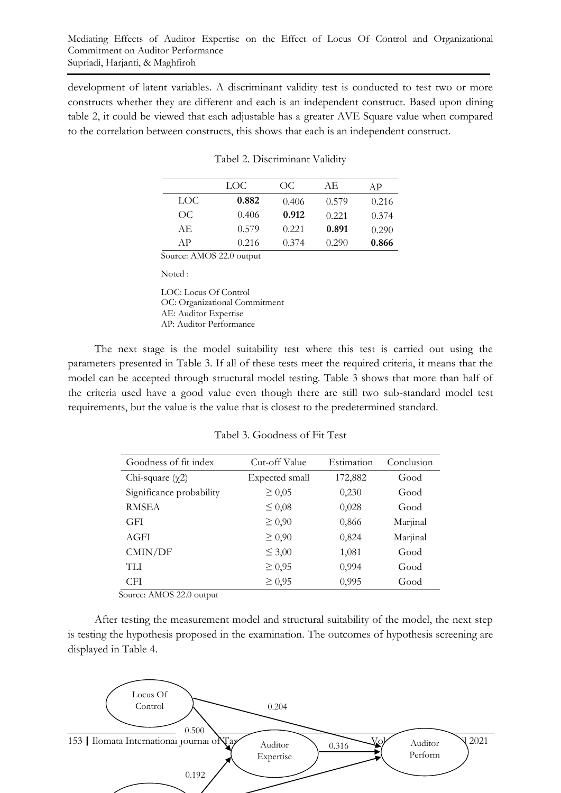development of latent variables. A discriminant validity test is conducted to test two or more constructs whether they are different and each is an independent construct. Based upon dining table 2, it could be viewed that each adjustable has a greater AVE Square value when compared to the correlation between constructs, this shows that each is an independent construct.

|      | LOC.  | OC    | AE.   | ΑP    |
|------|-------|-------|-------|-------|
| LOC. | 0.882 | 0.406 | 0.579 | 0.216 |
| OC   | 0.406 | 0.912 | 0.221 | 0.374 |
| AE.  | 0.579 | 0.221 | 0.891 | 0.290 |
| A P  | 0.216 | 0.374 | 0.290 | 0.866 |

| Tabel 2. Discriminant Validity |  |
|--------------------------------|--|
|                                |  |

Source: AMOS 22.0 output

Noted :

LOC: Locus Of Control OC: Organizational Commitment AE: Auditor Expertise AP: Auditor Performance

The next stage is the model suitability test where this test is carried out using the parameters presented in Table 3. If all of these tests meet the required criteria, it means that the model can be accepted through structural model testing. Table 3 shows that more than half of the criteria used have a good value even though there are still two sub-standard model test requirements, but the value is the value that is closest to the predetermined standard.

| Goodness of fit index    | Cut-off Value  | Estimation | Conclusion |
|--------------------------|----------------|------------|------------|
| Chi-square $(\chi 2)$    | Expected small | 172,882    | Good       |
| Significance probability | $\geq 0.05$    | 0,230      | Good       |
| <b>RMSEA</b>             | $\leq 0.08$    | 0,028      | Good       |
| <b>GFI</b>               | $\geq 0.90$    | 0,866      | Marjinal   |
| AGFI                     | $\geq 0.90$    | 0,824      | Marjinal   |
| CMIN/DF                  | $\leq 3,00$    | 1,081      | Good       |
| <b>TLI</b>               | $\geq 0.95$    | 0,994      | Good       |
| <b>CFI</b>               | $\geq 0.95$    | 0,995      | Good       |

Tabel 3. Goodness of Fit Test

Source: AMOS 22.0 output

After testing the measurement model and structural suitability of the model, the next step is testing the hypothesis proposed in the examination. The outcomes of hypothesis screening are displayed in Table 4.

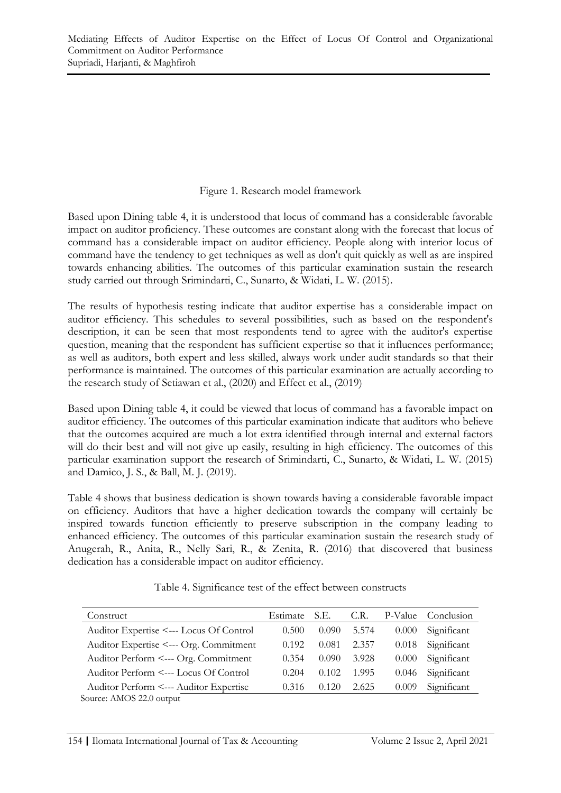#### Figure 1. Research model framework

Based upon Dining table 4, it is understood that locus of command has a considerable favorable impact on auditor proficiency. These outcomes are constant along with the forecast that locus of command has a considerable impact on auditor efficiency. People along with interior locus of command have the tendency to get techniques as well as don't quit quickly as well as are inspired towards enhancing abilities. The outcomes of this particular examination sustain the research study carried out through Srimindarti, C., Sunarto, & Widati, L. W. (2015).

The results of hypothesis testing indicate that auditor expertise has a considerable impact on auditor efficiency. This schedules to several possibilities, such as based on the respondent's description, it can be seen that most respondents tend to agree with the auditor's expertise question, meaning that the respondent has sufficient expertise so that it influences performance; as well as auditors, both expert and less skilled, always work under audit standards so that their performance is maintained. The outcomes of this particular examination are actually according to the research study of Setiawan et al., (2020) and Effect et al., (2019)

Based upon Dining table 4, it could be viewed that locus of command has a favorable impact on auditor efficiency. The outcomes of this particular examination indicate that auditors who believe that the outcomes acquired are much a lot extra identified through internal and external factors will do their best and will not give up easily, resulting in high efficiency. The outcomes of this particular examination support the research of Srimindarti, C., Sunarto, & Widati, L. W. (2015) and Damico, J. S., & Ball, M. J. (2019).

Table 4 shows that business dedication is shown towards having a considerable favorable impact on efficiency. Auditors that have a higher dedication towards the company will certainly be inspired towards function efficiently to preserve subscription in the company leading to enhanced efficiency. The outcomes of this particular examination sustain the research study of Anugerah, R., Anita, R., Nelly Sari, R., & Zenita, R. (2016) that discovered that business dedication has a considerable impact on auditor efficiency.

| Construct                               | Estimate | S.E.  | C.R.  | P-Value | Conclusion  |  |
|-----------------------------------------|----------|-------|-------|---------|-------------|--|
| Auditor Expertise <--- Locus Of Control | 0.500    | 0.090 | 5.574 | 0.000   | Significant |  |
| Auditor Expertise <--- Org. Commitment  | 0.192    | 0.081 | 2.357 | 0.018   | Significant |  |
| Auditor Perform <--- Org. Commitment    | 0.354    | 0.090 | 3.928 | 0.000   | Significant |  |
| Auditor Perform <--- Locus Of Control   | 0.204    | 0.102 | 1.995 | 0.046   | Significant |  |
| Auditor Perform <--- Auditor Expertise  | 0.316    | 0.120 | 2.625 | 0.009   | Significant |  |
| Source: AMOS 22.0 output                |          |       |       |         |             |  |

Table 4. Significance test of the effect between constructs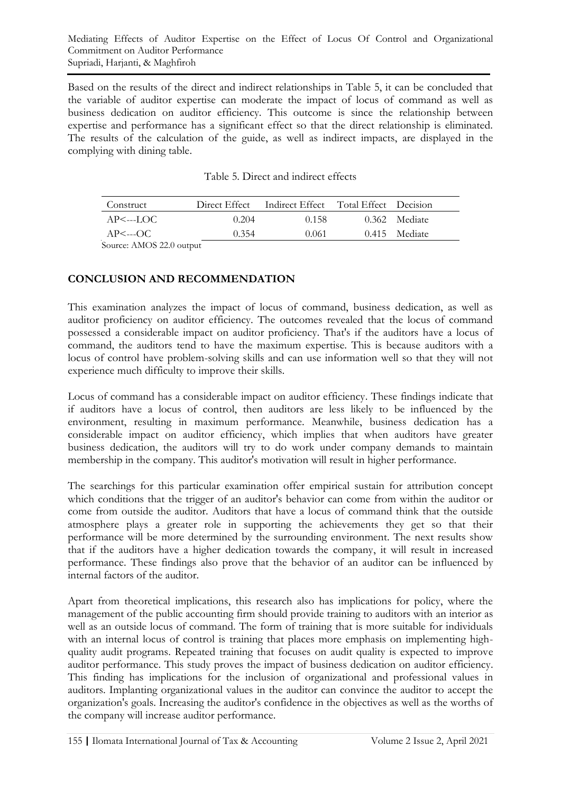Based on the results of the direct and indirect relationships in Table 5, it can be concluded that the variable of auditor expertise can moderate the impact of locus of command as well as business dedication on auditor efficiency. This outcome is since the relationship between expertise and performance has a significant effect so that the direct relationship is eliminated. The results of the calculation of the guide, as well as indirect impacts, are displayed in the complying with dining table.

| Construct               | Direct Effect | Indirect Effect Total Effect Decision |               |
|-------------------------|---------------|---------------------------------------|---------------|
| $AP \leftarrow$ ---LOC  | 0.204         | 0.158                                 | 0.362 Mediate |
| $AP \leftarrow \neg OC$ | 0.354         | 0.061                                 | 0.415 Mediate |
| $\lambda$               |               |                                       |               |

| Table 5. Direct and indirect effects |  |
|--------------------------------------|--|
|--------------------------------------|--|

Source: AMOS 22.0 output

# **CONCLUSION AND RECOMMENDATION**

This examination analyzes the impact of locus of command, business dedication, as well as auditor proficiency on auditor efficiency. The outcomes revealed that the locus of command possessed a considerable impact on auditor proficiency. That's if the auditors have a locus of command, the auditors tend to have the maximum expertise. This is because auditors with a locus of control have problem-solving skills and can use information well so that they will not experience much difficulty to improve their skills.

Locus of command has a considerable impact on auditor efficiency. These findings indicate that if auditors have a locus of control, then auditors are less likely to be influenced by the environment, resulting in maximum performance. Meanwhile, business dedication has a considerable impact on auditor efficiency, which implies that when auditors have greater business dedication, the auditors will try to do work under company demands to maintain membership in the company. This auditor's motivation will result in higher performance.

The searchings for this particular examination offer empirical sustain for attribution concept which conditions that the trigger of an auditor's behavior can come from within the auditor or come from outside the auditor. Auditors that have a locus of command think that the outside atmosphere plays a greater role in supporting the achievements they get so that their performance will be more determined by the surrounding environment. The next results show that if the auditors have a higher dedication towards the company, it will result in increased performance. These findings also prove that the behavior of an auditor can be influenced by internal factors of the auditor.

Apart from theoretical implications, this research also has implications for policy, where the management of the public accounting firm should provide training to auditors with an interior as well as an outside locus of command. The form of training that is more suitable for individuals with an internal locus of control is training that places more emphasis on implementing highquality audit programs. Repeated training that focuses on audit quality is expected to improve auditor performance. This study proves the impact of business dedication on auditor efficiency. This finding has implications for the inclusion of organizational and professional values in auditors. Implanting organizational values in the auditor can convince the auditor to accept the organization's goals. Increasing the auditor's confidence in the objectives as well as the worths of the company will increase auditor performance.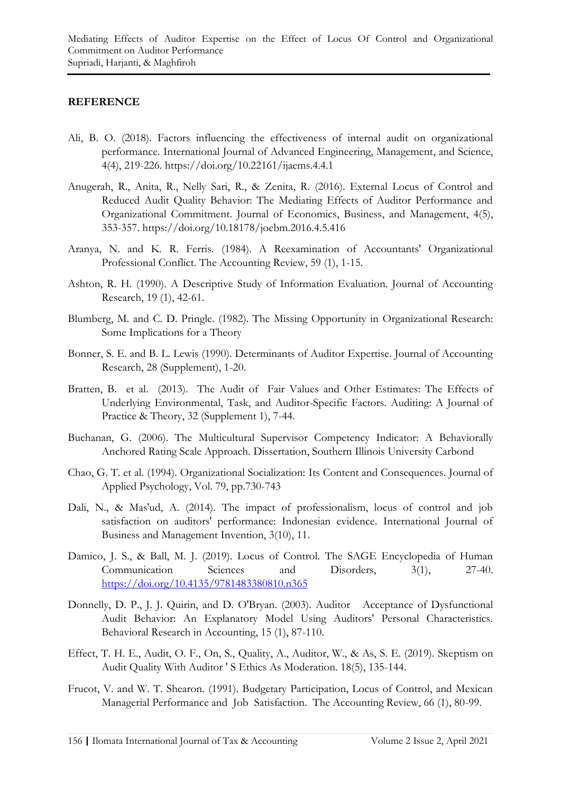#### **REFERENCE**

- Ali, B. O. (2018). Factors influencing the effectiveness of internal audit on organizational performance. International Journal of Advanced Engineering, Management, and Science, 4(4), 219-226. https://doi.org/10.22161/ijaems.4.4.1
- Anugerah, R., Anita, R., Nelly Sari, R., & Zenita, R. (2016). External Locus of Control and Reduced Audit Quality Behavior: The Mediating Effects of Auditor Performance and Organizational Commitment. Journal of Economics, Business, and Management, 4(5), 353-357. https://doi.org/10.18178/joebm.2016.4.5.416
- Aranya, N. and K. R. Ferris. (1984). A Reexamination of Accountants' Organizational Professional Conflict. The Accounting Review, 59 (1), 1-15.
- Ashton, R. H. (1990). A Descriptive Study of Information Evaluation. Journal of Accounting Research, 19 (1), 42-61.
- Blumberg, M. and C. D. Pringle. (1982). The Missing Opportunity in Organizational Research: Some Implications for a Theory
- Bonner, S. E. and B. L. Lewis (1990). Determinants of Auditor Expertise. Journal of Accounting Research, 28 (Supplement), 1-20.
- Bratten, B. et al. (2013). The Audit of Fair Values and Other Estimates: The Effects of Underlying Environmental, Task, and Auditor-Specific Factors. Auditing: A Journal of Practice & Theory, 32 (Supplement 1), 7-44.
- Buchanan, G. (2006). The Multicultural Supervisor Competency Indicator: A Behaviorally Anchored Rating Scale Approach. Dissertation, Southern Illinois University Carbond
- Chao, G. T. et al. (1994). Organizational Socialization: Its Content and Consequences. Journal of Applied Psychology, Vol. 79, pp.730-743
- Dali, N., & Mas'ud, A. (2014). The impact of professionalism, locus of control and job satisfaction on auditors' performance: Indonesian evidence. International Journal of Business and Management Invention, 3(10), 11.
- Damico, J. S., & Ball, M. J. (2019). Locus of Control. The SAGE Encyclopedia of Human Communication Sciences and Disorders, 3(1), 27-40. <https://doi.org/10.4135/9781483380810.n365>
- Donnelly, D. P., J. J. Quirin, and D. O'Bryan. (2003). Auditor Acceptance of Dysfunctional Audit Behavior: An Explanatory Model Using Auditors' Personal Characteristics. Behavioral Research in Accounting, 15 (1), 87-110.
- Effect, T. H. E., Audit, O. F., On, S., Quality, A., Auditor, W., & As, S. E. (2019). Skeptism on Audit Quality With Auditor ' S Ethics As Moderation. 18(5), 135-144.
- Frucot, V. and W. T. Shearon. (1991). Budgetary Participation, Locus of Control, and Mexican Managerial Performance and Job Satisfaction. The Accounting Review, 66 (1), 80-99.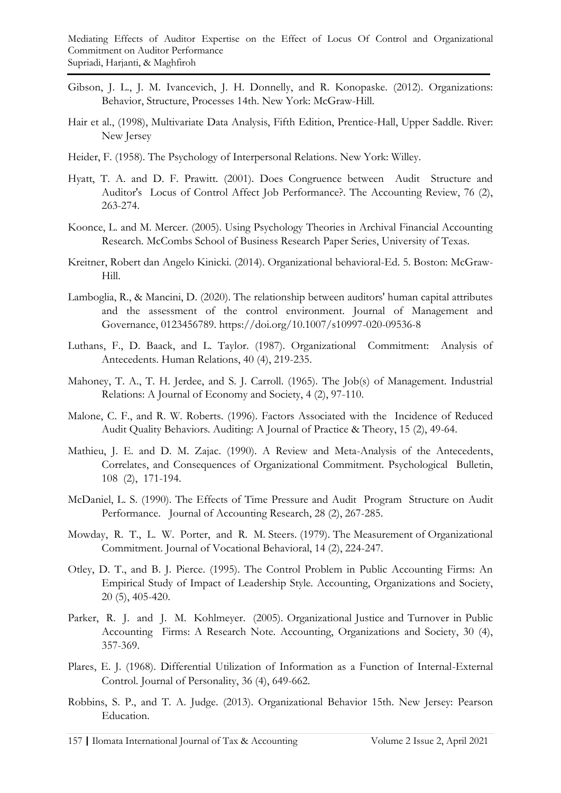- Gibson, J. L., J. M. Ivancevich, J. H. Donnelly, and R. Konopaske. (2012). Organizations: Behavior, Structure, Processes 14th. New York: McGraw-Hill.
- Hair et al., (1998), Multivariate Data Analysis, Fifth Edition, Prentice-Hall, Upper Saddle. River: New Jersey
- Heider, F. (1958). The Psychology of Interpersonal Relations. New York: Willey.
- Hyatt, T. A. and D. F. Prawitt. (2001). Does Congruence between Audit Structure and Auditor's Locus of Control Affect Job Performance?. The Accounting Review, 76 (2), 263-274.
- Koonce, L. and M. Mercer. (2005). Using Psychology Theories in Archival Financial Accounting Research. McCombs School of Business Research Paper Series, University of Texas.
- Kreitner, Robert dan Angelo Kinicki. (2014). Organizational behavioral-Ed. 5. Boston: McGraw-Hill.
- Lamboglia, R., & Mancini, D. (2020). The relationship between auditors' human capital attributes and the assessment of the control environment. Journal of Management and Governance, 0123456789. https://doi.org/10.1007/s10997-020-09536-8
- Luthans, F., D. Baack, and L. Taylor. (1987). Organizational Commitment: Analysis of Antecedents. Human Relations, 40 (4), 219-235.
- Mahoney, T. A., T. H. Jerdee, and S. J. Carroll. (1965). The Job(s) of Management. Industrial Relations: A Journal of Economy and Society, 4 (2), 97-110.
- Malone, C. F., and R. W. Roberts. (1996). Factors Associated with the Incidence of Reduced Audit Quality Behaviors. Auditing: A Journal of Practice & Theory, 15 (2), 49-64.
- Mathieu, J. E. and D. M. Zajac. (1990). A Review and Meta-Analysis of the Antecedents, Correlates, and Consequences of Organizational Commitment. Psychological Bulletin, 108 (2), 171-194.
- McDaniel, L. S. (1990). The Effects of Time Pressure and Audit Program Structure on Audit Performance. Journal of Accounting Research, 28 (2), 267-285.
- Mowday, R. T., L. W. Porter, and R. M. Steers. (1979). The Measurement of Organizational Commitment. Journal of Vocational Behavioral, 14 (2), 224-247.
- Otley, D. T., and B. J. Pierce. (1995). The Control Problem in Public Accounting Firms: An Empirical Study of Impact of Leadership Style. Accounting, Organizations and Society, 20 (5), 405-420.
- Parker, R. J. and J. M. Kohlmeyer. (2005). Organizational Justice and Turnover in Public Accounting Firms: A Research Note. Accounting, Organizations and Society, 30 (4), 357-369.
- Plares, E. J. (1968). Differential Utilization of Information as a Function of Internal-External Control. Journal of Personality, 36 (4), 649-662.
- Robbins, S. P., and T. A. Judge. (2013). Organizational Behavior 15th. New Jersey: Pearson Education.